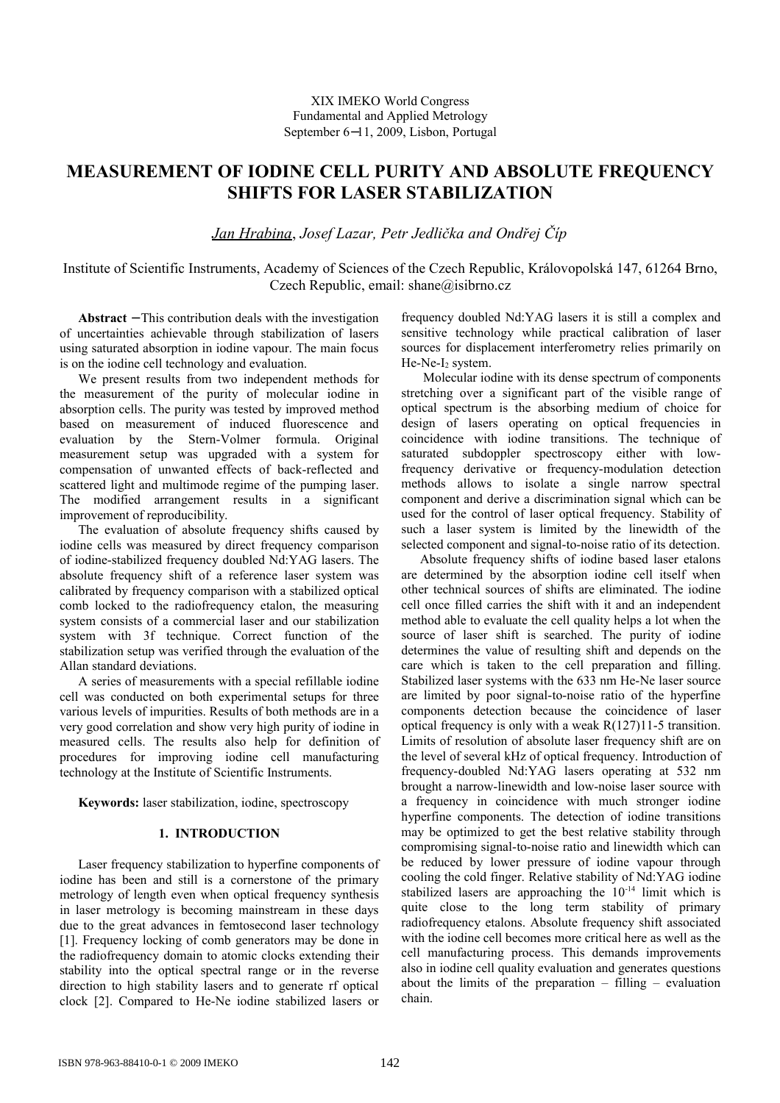# **MEASUREMENT OF IODINE CELL PURITY AND ABSOLUTE FREQUENCY SHIFTS FOR LASER STABILIZATION**

# *Jan Hrabina*, *Josef Lazar, Petr Jedlička and Ondřej Číp*

Institute of Scientific Instruments, Academy of Sciences of the Czech Republic, Královopolská 147, 61264 Brno, Czech Republic, email: shane@isibrno.cz

**Abstract** − This contribution deals with the investigation of uncertainties achievable through stabilization of lasers using saturated absorption in iodine vapour. The main focus is on the iodine cell technology and evaluation.

We present results from two independent methods for the measurement of the purity of molecular iodine in absorption cells. The purity was tested by improved method based on measurement of induced fluorescence and evaluation by the Stern-Volmer formula. Original measurement setup was upgraded with a system for compensation of unwanted effects of back-reflected and scattered light and multimode regime of the pumping laser. The modified arrangement results in a significant improvement of reproducibility.

The evaluation of absolute frequency shifts caused by iodine cells was measured by direct frequency comparison of iodine-stabilized frequency doubled Nd:YAG lasers. The absolute frequency shift of a reference laser system was calibrated by frequency comparison with a stabilized optical comb locked to the radiofrequency etalon, the measuring system consists of a commercial laser and our stabilization system with 3f technique. Correct function of the stabilization setup was verified through the evaluation of the Allan standard deviations.

A series of measurements with a special refillable iodine cell was conducted on both experimental setups for three various levels of impurities. Results of both methods are in a very good correlation and show very high purity of iodine in measured cells. The results also help for definition of procedures for improving iodine cell manufacturing technology at the Institute of Scientific Instruments.

**Keywords:** laser stabilization, iodine, spectroscopy

# **1. INTRODUCTION**

Laser frequency stabilization to hyperfine components of iodine has been and still is a cornerstone of the primary metrology of length even when optical frequency synthesis in laser metrology is becoming mainstream in these days due to the great advances in femtosecond laser technology [1]. Frequency locking of comb generators may be done in the radiofrequency domain to atomic clocks extending their stability into the optical spectral range or in the reverse direction to high stability lasers and to generate rf optical clock [2]. Compared to He-Ne iodine stabilized lasers or

frequency doubled Nd:YAG lasers it is still a complex and sensitive technology while practical calibration of laser sources for displacement interferometry relies primarily on  $He-Ne-I<sub>2</sub> system.$ 

 Molecular iodine with its dense spectrum of components stretching over a significant part of the visible range of optical spectrum is the absorbing medium of choice for design of lasers operating on optical frequencies in coincidence with iodine transitions. The technique of saturated subdoppler spectroscopy either with lowfrequency derivative or frequency-modulation detection methods allows to isolate a single narrow spectral component and derive a discrimination signal which can be used for the control of laser optical frequency. Stability of such a laser system is limited by the linewidth of the selected component and signal-to-noise ratio of its detection.

Absolute frequency shifts of iodine based laser etalons are determined by the absorption iodine cell itself when other technical sources of shifts are eliminated. The iodine cell once filled carries the shift with it and an independent method able to evaluate the cell quality helps a lot when the source of laser shift is searched. The purity of iodine determines the value of resulting shift and depends on the care which is taken to the cell preparation and filling. Stabilized laser systems with the 633 nm He-Ne laser source are limited by poor signal-to-noise ratio of the hyperfine components detection because the coincidence of laser optical frequency is only with a weak R(127)11-5 transition. Limits of resolution of absolute laser frequency shift are on the level of several kHz of optical frequency. Introduction of frequency-doubled Nd:YAG lasers operating at 532 nm brought a narrow-linewidth and low-noise laser source with a frequency in coincidence with much stronger iodine hyperfine components. The detection of iodine transitions may be optimized to get the best relative stability through compromising signal-to-noise ratio and linewidth which can be reduced by lower pressure of iodine vapour through cooling the cold finger. Relative stability of Nd:YAG iodine stabilized lasers are approaching the 10-14 limit which is quite close to the long term stability of primary radiofrequency etalons. Absolute frequency shift associated with the iodine cell becomes more critical here as well as the cell manufacturing process. This demands improvements also in iodine cell quality evaluation and generates questions about the limits of the preparation – filling – evaluation chain.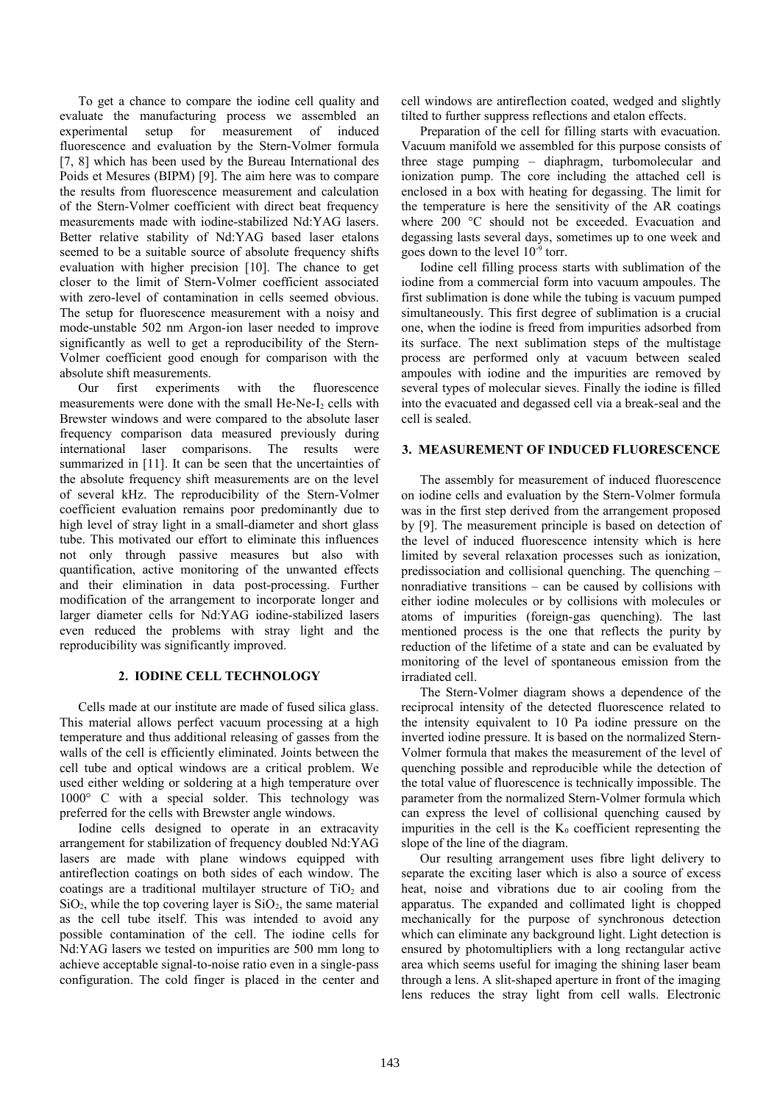To get a chance to compare the iodine cell quality and evaluate the manufacturing process we assembled an experimental setup for measurement of induced fluorescence and evaluation by the Stern-Volmer formula [7, 8] which has been used by the Bureau International des Poids et Mesures (BIPM) [9]. The aim here was to compare the results from fluorescence measurement and calculation of the Stern-Volmer coefficient with direct beat frequency measurements made with iodine-stabilized Nd:YAG lasers. Better relative stability of Nd:YAG based laser etalons seemed to be a suitable source of absolute frequency shifts evaluation with higher precision [10]. The chance to get closer to the limit of Stern-Volmer coefficient associated with zero-level of contamination in cells seemed obvious. The setup for fluorescence measurement with a noisy and mode-unstable 502 nm Argon-ion laser needed to improve significantly as well to get a reproducibility of the Stern-Volmer coefficient good enough for comparison with the absolute shift measurements.

Our first experiments with the fluorescence measurements were done with the small He-Ne- $I_2$  cells with Brewster windows and were compared to the absolute laser frequency comparison data measured previously during international laser comparisons. The results were summarized in [11]. It can be seen that the uncertainties of the absolute frequency shift measurements are on the level of several kHz. The reproducibility of the Stern-Volmer coefficient evaluation remains poor predominantly due to high level of stray light in a small-diameter and short glass tube. This motivated our effort to eliminate this influences not only through passive measures but also with quantification, active monitoring of the unwanted effects and their elimination in data post-processing. Further modification of the arrangement to incorporate longer and larger diameter cells for Nd:YAG iodine-stabilized lasers even reduced the problems with stray light and the reproducibility was significantly improved.

# **2. IODINE CELL TECHNOLOGY**

Cells made at our institute are made of fused silica glass. This material allows perfect vacuum processing at a high temperature and thus additional releasing of gasses from the walls of the cell is efficiently eliminated. Joints between the cell tube and optical windows are a critical problem. We used either welding or soldering at a high temperature over 1000° C with a special solder. This technology was preferred for the cells with Brewster angle windows.

Iodine cells designed to operate in an extracavity arrangement for stabilization of frequency doubled Nd:YAG lasers are made with plane windows equipped with antireflection coatings on both sides of each window. The coatings are a traditional multilayer structure of  $TiO<sub>2</sub>$  and  $SiO<sub>2</sub>$ , while the top covering layer is  $SiO<sub>2</sub>$ , the same material as the cell tube itself. This was intended to avoid any possible contamination of the cell. The iodine cells for Nd:YAG lasers we tested on impurities are 500 mm long to achieve acceptable signal-to-noise ratio even in a single-pass configuration. The cold finger is placed in the center and cell windows are antireflection coated, wedged and slightly tilted to further suppress reflections and etalon effects.

Preparation of the cell for filling starts with evacuation. Vacuum manifold we assembled for this purpose consists of three stage pumping – diaphragm, turbomolecular and ionization pump. The core including the attached cell is enclosed in a box with heating for degassing. The limit for the temperature is here the sensitivity of the AR coatings where 200 °C should not be exceeded. Evacuation and degassing lasts several days, sometimes up to one week and goes down to the level  $10^{-9}$  torr.

Iodine cell filling process starts with sublimation of the iodine from a commercial form into vacuum ampoules. The first sublimation is done while the tubing is vacuum pumped simultaneously. This first degree of sublimation is a crucial one, when the iodine is freed from impurities adsorbed from its surface. The next sublimation steps of the multistage process are performed only at vacuum between sealed ampoules with iodine and the impurities are removed by several types of molecular sieves. Finally the iodine is filled into the evacuated and degassed cell via a break-seal and the cell is sealed.

## **3. MEASUREMENT OF INDUCED FLUORESCENCE**

The assembly for measurement of induced fluorescence on iodine cells and evaluation by the Stern-Volmer formula was in the first step derived from the arrangement proposed by [9]. The measurement principle is based on detection of the level of induced fluorescence intensity which is here limited by several relaxation processes such as ionization, predissociation and collisional quenching. The quenching – nonradiative transitions – can be caused by collisions with either iodine molecules or by collisions with molecules or atoms of impurities (foreign-gas quenching). The last mentioned process is the one that reflects the purity by reduction of the lifetime of a state and can be evaluated by monitoring of the level of spontaneous emission from the irradiated cell.

The Stern-Volmer diagram shows a dependence of the reciprocal intensity of the detected fluorescence related to the intensity equivalent to 10 Pa iodine pressure on the inverted iodine pressure. It is based on the normalized Stern-Volmer formula that makes the measurement of the level of quenching possible and reproducible while the detection of the total value of fluorescence is technically impossible. The parameter from the normalized Stern-Volmer formula which can express the level of collisional quenching caused by impurities in the cell is the  $K_0$  coefficient representing the slope of the line of the diagram.

Our resulting arrangement uses fibre light delivery to separate the exciting laser which is also a source of excess heat, noise and vibrations due to air cooling from the apparatus. The expanded and collimated light is chopped mechanically for the purpose of synchronous detection which can eliminate any background light. Light detection is ensured by photomultipliers with a long rectangular active area which seems useful for imaging the shining laser beam through a lens. A slit-shaped aperture in front of the imaging lens reduces the stray light from cell walls. Electronic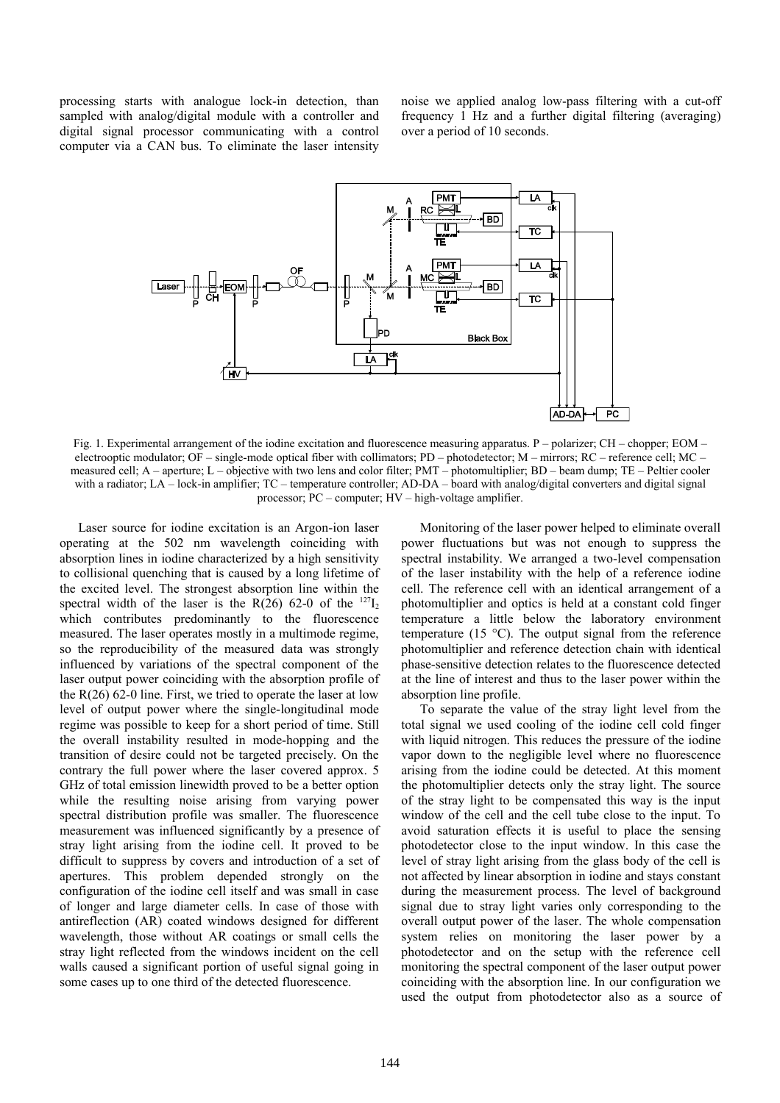processing starts with analogue lock-in detection, than sampled with analog/digital module with a controller and digital signal processor communicating with a control computer via a CAN bus. To eliminate the laser intensity noise we applied analog low-pass filtering with a cut-off frequency 1 Hz and a further digital filtering (averaging) over a period of 10 seconds.



Fig. 1. Experimental arrangement of the iodine excitation and fluorescence measuring apparatus. P – polarizer; CH – chopper; EOM – electrooptic modulator; OF – single-mode optical fiber with collimators; PD – photodetector; M – mirrors; RC – reference cell; MC – measured cell; A – aperture; L – objective with two lens and color filter; PMT – photomultiplier; BD – beam dump; TE – Peltier cooler with a radiator; LA – lock-in amplifier; TC – temperature controller; AD-DA – board with analog/digital converters and digital signal processor; PC – computer; HV – high-voltage amplifier.

Laser source for iodine excitation is an Argon-ion laser operating at the 502 nm wavelength coinciding with absorption lines in iodine characterized by a high sensitivity to collisional quenching that is caused by a long lifetime of the excited level. The strongest absorption line within the spectral width of the laser is the R(26) 62-0 of the  $^{127}I_2$ which contributes predominantly to the fluorescence measured. The laser operates mostly in a multimode regime, so the reproducibility of the measured data was strongly influenced by variations of the spectral component of the laser output power coinciding with the absorption profile of the  $R(26)$  62-0 line. First, we tried to operate the laser at low level of output power where the single-longitudinal mode regime was possible to keep for a short period of time. Still the overall instability resulted in mode-hopping and the transition of desire could not be targeted precisely. On the contrary the full power where the laser covered approx. 5 GHz of total emission linewidth proved to be a better option while the resulting noise arising from varying power spectral distribution profile was smaller. The fluorescence measurement was influenced significantly by a presence of stray light arising from the iodine cell. It proved to be difficult to suppress by covers and introduction of a set of apertures. This problem depended strongly on the configuration of the iodine cell itself and was small in case of longer and large diameter cells. In case of those with antireflection (AR) coated windows designed for different wavelength, those without AR coatings or small cells the stray light reflected from the windows incident on the cell walls caused a significant portion of useful signal going in some cases up to one third of the detected fluorescence.

Monitoring of the laser power helped to eliminate overall power fluctuations but was not enough to suppress the spectral instability. We arranged a two-level compensation of the laser instability with the help of a reference iodine cell. The reference cell with an identical arrangement of a photomultiplier and optics is held at a constant cold finger temperature a little below the laboratory environment temperature (15 °C). The output signal from the reference photomultiplier and reference detection chain with identical phase-sensitive detection relates to the fluorescence detected at the line of interest and thus to the laser power within the absorption line profile.

To separate the value of the stray light level from the total signal we used cooling of the iodine cell cold finger with liquid nitrogen. This reduces the pressure of the iodine vapor down to the negligible level where no fluorescence arising from the iodine could be detected. At this moment the photomultiplier detects only the stray light. The source of the stray light to be compensated this way is the input window of the cell and the cell tube close to the input. To avoid saturation effects it is useful to place the sensing photodetector close to the input window. In this case the level of stray light arising from the glass body of the cell is not affected by linear absorption in iodine and stays constant during the measurement process. The level of background signal due to stray light varies only corresponding to the overall output power of the laser. The whole compensation system relies on monitoring the laser power by a photodetector and on the setup with the reference cell monitoring the spectral component of the laser output power coinciding with the absorption line. In our configuration we used the output from photodetector also as a source of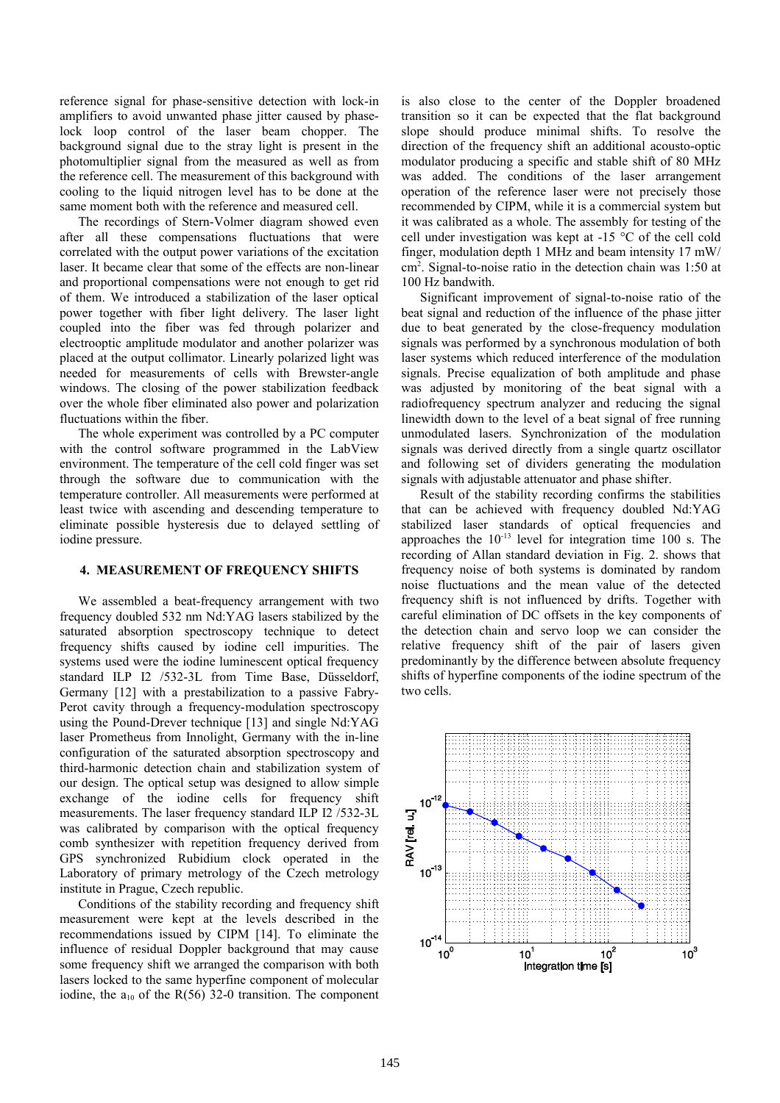reference signal for phase-sensitive detection with lock-in amplifiers to avoid unwanted phase jitter caused by phaselock loop control of the laser beam chopper. The background signal due to the stray light is present in the photomultiplier signal from the measured as well as from the reference cell. The measurement of this background with cooling to the liquid nitrogen level has to be done at the same moment both with the reference and measured cell.

The recordings of Stern-Volmer diagram showed even after all these compensations fluctuations that were correlated with the output power variations of the excitation laser. It became clear that some of the effects are non-linear and proportional compensations were not enough to get rid of them. We introduced a stabilization of the laser optical power together with fiber light delivery. The laser light coupled into the fiber was fed through polarizer and electrooptic amplitude modulator and another polarizer was placed at the output collimator. Linearly polarized light was needed for measurements of cells with Brewster-angle windows. The closing of the power stabilization feedback over the whole fiber eliminated also power and polarization fluctuations within the fiber.

The whole experiment was controlled by a PC computer with the control software programmed in the LabView environment. The temperature of the cell cold finger was set through the software due to communication with the temperature controller. All measurements were performed at least twice with ascending and descending temperature to eliminate possible hysteresis due to delayed settling of iodine pressure.

### **4. MEASUREMENT OF FREQUENCY SHIFTS**

We assembled a beat-frequency arrangement with two frequency doubled 532 nm Nd:YAG lasers stabilized by the saturated absorption spectroscopy technique to detect frequency shifts caused by iodine cell impurities. The systems used were the iodine luminescent optical frequency standard ILP I2 /532-3L from Time Base, Düsseldorf, Germany [12] with a prestabilization to a passive Fabry-Perot cavity through a frequency-modulation spectroscopy using the Pound-Drever technique [13] and single Nd:YAG laser Prometheus from Innolight, Germany with the in-line configuration of the saturated absorption spectroscopy and third-harmonic detection chain and stabilization system of our design. The optical setup was designed to allow simple exchange of the iodine cells for frequency shift measurements. The laser frequency standard ILP I2 /532-3L was calibrated by comparison with the optical frequency comb synthesizer with repetition frequency derived from GPS synchronized Rubidium clock operated in the Laboratory of primary metrology of the Czech metrology institute in Prague, Czech republic.

Conditions of the stability recording and frequency shift measurement were kept at the levels described in the recommendations issued by CIPM [14]. To eliminate the influence of residual Doppler background that may cause some frequency shift we arranged the comparison with both lasers locked to the same hyperfine component of molecular iodine, the  $a_{10}$  of the R(56) 32-0 transition. The component is also close to the center of the Doppler broadened transition so it can be expected that the flat background slope should produce minimal shifts. To resolve the direction of the frequency shift an additional acousto-optic modulator producing a specific and stable shift of 80 MHz was added. The conditions of the laser arrangement operation of the reference laser were not precisely those recommended by CIPM, while it is a commercial system but it was calibrated as a whole. The assembly for testing of the cell under investigation was kept at -15 °C of the cell cold finger, modulation depth 1 MHz and beam intensity 17 mW/ cm<sup>2</sup> . Signal-to-noise ratio in the detection chain was 1:50 at 100 Hz bandwith.

Significant improvement of signal-to-noise ratio of the beat signal and reduction of the influence of the phase jitter due to beat generated by the close-frequency modulation signals was performed by a synchronous modulation of both laser systems which reduced interference of the modulation signals. Precise equalization of both amplitude and phase was adjusted by monitoring of the beat signal with a radiofrequency spectrum analyzer and reducing the signal linewidth down to the level of a beat signal of free running unmodulated lasers. Synchronization of the modulation signals was derived directly from a single quartz oscillator and following set of dividers generating the modulation signals with adjustable attenuator and phase shifter.

Result of the stability recording confirms the stabilities that can be achieved with frequency doubled Nd:YAG stabilized laser standards of optical frequencies and approaches the  $10^{-13}$  level for integration time 100 s. The recording of Allan standard deviation in Fig. 2. shows that frequency noise of both systems is dominated by random noise fluctuations and the mean value of the detected frequency shift is not influenced by drifts. Together with careful elimination of DC offsets in the key components of the detection chain and servo loop we can consider the relative frequency shift of the pair of lasers given predominantly by the difference between absolute frequency shifts of hyperfine components of the iodine spectrum of the two cells.

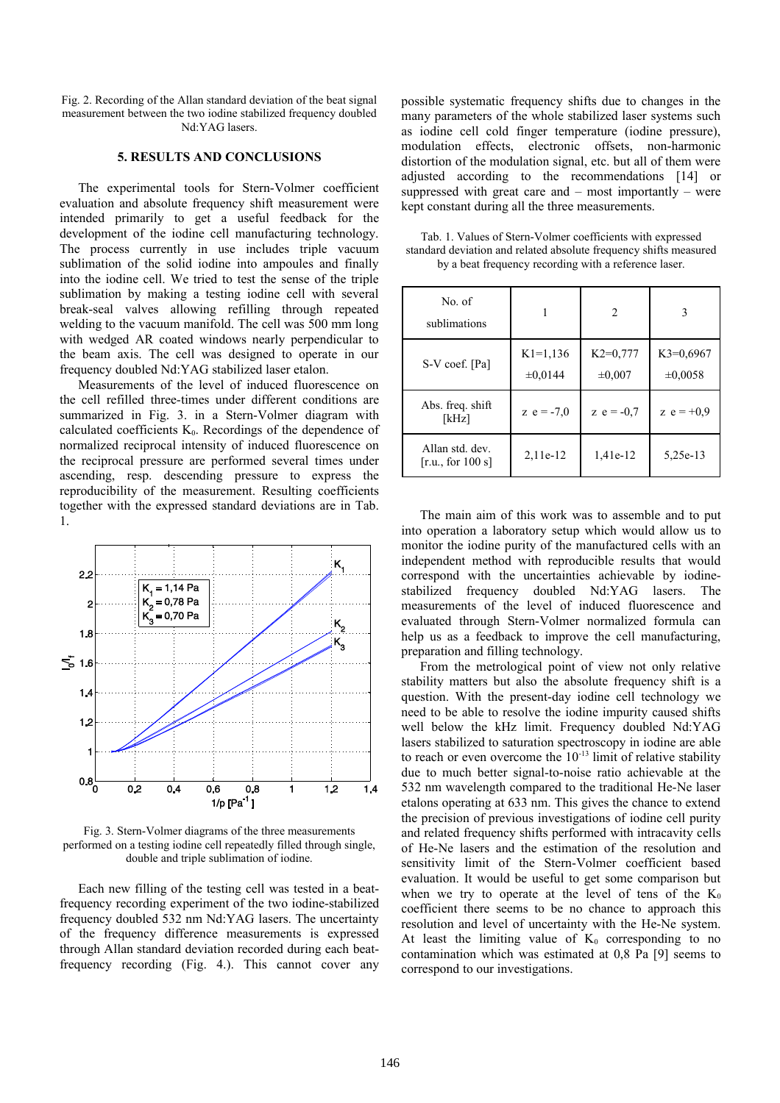Fig. 2. Recording of the Allan standard deviation of the beat signal measurement between the two iodine stabilized frequency doubled Nd:YAG lasers.

#### **5. RESULTS AND CONCLUSIONS**

The experimental tools for Stern-Volmer coefficient evaluation and absolute frequency shift measurement were intended primarily to get a useful feedback for the development of the iodine cell manufacturing technology. The process currently in use includes triple vacuum sublimation of the solid iodine into ampoules and finally into the iodine cell. We tried to test the sense of the triple sublimation by making a testing iodine cell with several break-seal valves allowing refilling through repeated welding to the vacuum manifold. The cell was 500 mm long with wedged AR coated windows nearly perpendicular to the beam axis. The cell was designed to operate in our frequency doubled Nd:YAG stabilized laser etalon.

Measurements of the level of induced fluorescence on the cell refilled three-times under different conditions are summarized in Fig. 3. in a Stern-Volmer diagram with calculated coefficients  $K_0$ . Recordings of the dependence of normalized reciprocal intensity of induced fluorescence on the reciprocal pressure are performed several times under ascending, resp. descending pressure to express the reproducibility of the measurement. Resulting coefficients together with the expressed standard deviations are in Tab. 1.



Fig. 3. Stern-Volmer diagrams of the three measurements performed on a testing iodine cell repeatedly filled through single, double and triple sublimation of iodine.

Each new filling of the testing cell was tested in a beatfrequency recording experiment of the two iodine-stabilized frequency doubled 532 nm Nd:YAG lasers. The uncertainty of the frequency difference measurements is expressed through Allan standard deviation recorded during each beatfrequency recording (Fig. 4.). This cannot cover any possible systematic frequency shifts due to changes in the many parameters of the whole stabilized laser systems such as iodine cell cold finger temperature (iodine pressure), modulation effects, electronic offsets, non-harmonic distortion of the modulation signal, etc. but all of them were adjusted according to the recommendations [14] or suppressed with great care and – most importantly – were kept constant during all the three measurements.

| No. of<br>sublimations               |                            | $\overline{c}$            | 3                           |
|--------------------------------------|----------------------------|---------------------------|-----------------------------|
| S-V coef. [Pa]                       | $K1=1,136$<br>$\pm 0.0144$ | $K2=0,777$<br>$\pm 0,007$ | $K3=0.6967$<br>$\pm 0.0058$ |
| Abs. freq. shift<br>[kHz]            | z $e = -7.0$               | z $e = -0.7$              | z $e = +0.9$                |
| Allan std. dev.<br>[r.u., for 100 s] | $2,11e-12$                 | 1,41e-12                  | 5,25e-13                    |

Tab. 1. Values of Stern-Volmer coefficients with expressed standard deviation and related absolute frequency shifts measured by a beat frequency recording with a reference laser.

The main aim of this work was to assemble and to put into operation a laboratory setup which would allow us to monitor the iodine purity of the manufactured cells with an independent method with reproducible results that would correspond with the uncertainties achievable by iodinestabilized frequency doubled Nd:YAG lasers. The measurements of the level of induced fluorescence and evaluated through Stern-Volmer normalized formula can help us as a feedback to improve the cell manufacturing, preparation and filling technology.

From the metrological point of view not only relative stability matters but also the absolute frequency shift is a question. With the present-day iodine cell technology we need to be able to resolve the iodine impurity caused shifts well below the kHz limit. Frequency doubled Nd:YAG lasers stabilized to saturation spectroscopy in iodine are able to reach or even overcome the  $10^{-13}$  limit of relative stability due to much better signal-to-noise ratio achievable at the 532 nm wavelength compared to the traditional He-Ne laser etalons operating at 633 nm. This gives the chance to extend the precision of previous investigations of iodine cell purity and related frequency shifts performed with intracavity cells of He-Ne lasers and the estimation of the resolution and sensitivity limit of the Stern-Volmer coefficient based evaluation. It would be useful to get some comparison but when we try to operate at the level of tens of the  $K_0$ coefficient there seems to be no chance to approach this resolution and level of uncertainty with the He-Ne system. At least the limiting value of  $K_0$  corresponding to no contamination which was estimated at 0,8 Pa [9] seems to correspond to our investigations.